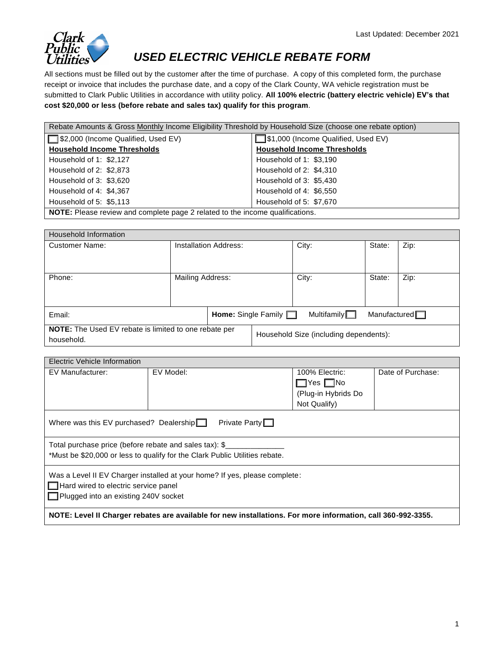

## *USED ELECTRIC VEHICLE REBATE FORM*

All sections must be filled out by the customer after the time of purchase. A copy of this completed form, the purchase receipt or invoice that includes the purchase date, and a copy of the Clark County, WA vehicle registration must be submitted to Clark Public Utilities in accordance with utility policy. **All 100% electric (battery electric vehicle) EV's that cost \$20,000 or less (before rebate and sales tax) qualify for this program**.

| Rebate Amounts & Gross Monthly Income Eligibility Threshold by Household Size (choose one rebate option) |                                       |  |  |  |
|----------------------------------------------------------------------------------------------------------|---------------------------------------|--|--|--|
| □ \$2,000 (Income Qualified, Used EV)                                                                    | □ \$1,000 (Income Qualified, Used EV) |  |  |  |
| <b>Household Income Thresholds</b>                                                                       | <b>Household Income Thresholds</b>    |  |  |  |
| Household of 1: \$2,127                                                                                  | Household of 1: \$3,190               |  |  |  |
| Household of 2: \$2,873                                                                                  | Household of 2: \$4,310               |  |  |  |
| Household of 3: \$3,620                                                                                  | Household of 3: \$5,430               |  |  |  |
| Household of 4: \$4,367                                                                                  | Household of 4: \$6,550               |  |  |  |
| Household of 5: \$5.113                                                                                  | Household of 5: \$7,670               |  |  |  |
| NOTE: Please review and complete page 2 related to the income qualifications.                            |                                       |  |  |  |

| Household Information                                                      |                              |                                        |                       |                     |      |  |
|----------------------------------------------------------------------------|------------------------------|----------------------------------------|-----------------------|---------------------|------|--|
| <b>Customer Name:</b>                                                      | <b>Installation Address:</b> |                                        | City:                 | State:              | Zip: |  |
| Phone:                                                                     | Mailing Address:             |                                        | City:                 | State:              | Zip: |  |
| Email:                                                                     |                              | <b>Home:</b> Single Family $\Box$      | Multifamily $\square$ | Manufactured $\Box$ |      |  |
| <b>NOTE:</b> The Used EV rebate is limited to one rebate per<br>household. |                              | Household Size (including dependents): |                       |                     |      |  |

| Electric Vehicle Information                                                                                                          |           |                      |                   |  |  |
|---------------------------------------------------------------------------------------------------------------------------------------|-----------|----------------------|-------------------|--|--|
| EV Manufacturer:                                                                                                                      | EV Model: | 100% Electric:       | Date of Purchase: |  |  |
|                                                                                                                                       |           | $\Box$ Yes $\Box$ No |                   |  |  |
|                                                                                                                                       |           | (Plug-in Hybrids Do  |                   |  |  |
|                                                                                                                                       |           | Not Qualify)         |                   |  |  |
| Private Party $\Box$<br>Where was this EV purchased? Dealership $\Box$                                                                |           |                      |                   |  |  |
| Total purchase price (before rebate and sales tax): \$<br>*Must be \$20,000 or less to qualify for the Clark Public Utilities rebate. |           |                      |                   |  |  |
| Was a Level II EV Charger installed at your home? If yes, please complete:                                                            |           |                      |                   |  |  |
| Hard wired to electric service panel                                                                                                  |           |                      |                   |  |  |
| □ Plugged into an existing 240V socket                                                                                                |           |                      |                   |  |  |
| NOTE: Level II Charger rebates are available for new installations. For more information, call 360-992-3355.                          |           |                      |                   |  |  |